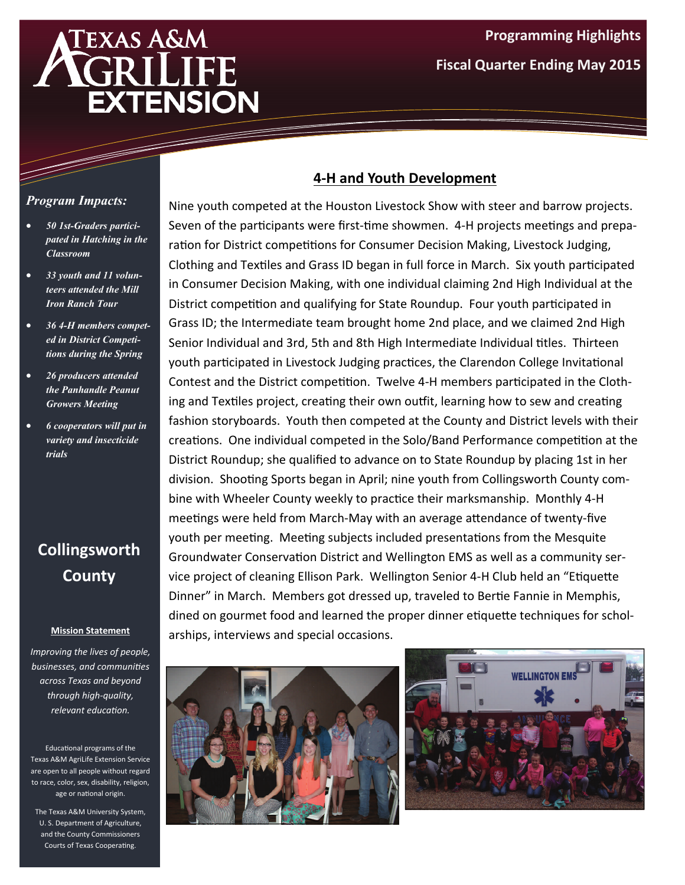# **EXAS A&M EXTENSION**

### *Program Impacts:*

- *50 1st-Graders participated in Hatching in the Classroom*
- *33 youth and 11 volunteers attended the Mill Iron Ranch Tour*
- *36 4-H members competed in District Competitions during the Spring*
- *26 producers attended the Panhandle Peanut Growers Meeting*
- *6 cooperators will put in variety and insecticide trials*

# **Collingsworth County**

#### **Mission Statement**

*Improving the lives of people, businesses, and communiƟes across Texas and beyond through high‐quality, relevant educaƟon.*

Educational programs of the Texas A&M AgriLife Extension Service are open to all people without regard to race, color, sex, disability, religion, age or national origin.

The Texas A&M University System, U. S. Department of Agriculture, and the County Commissioners Courts of Texas Cooperating.

## **4‐H and Youth Development**

Nine youth competed at the Houston Livestock Show with steer and barrow projects. Seven of the participants were first-time showmen. 4-H projects meetings and preparation for District competitions for Consumer Decision Making, Livestock Judging, Clothing and Textiles and Grass ID began in full force in March. Six youth participated in Consumer Decision Making, with one individual claiming 2nd High Individual at the District competition and qualifying for State Roundup. Four youth participated in Grass ID; the Intermediate team brought home 2nd place, and we claimed 2nd High Senior Individual and 3rd, 5th and 8th High Intermediate Individual titles. Thirteen youth participated in Livestock Judging practices, the Clarendon College Invitational Contest and the District competition. Twelve 4-H members participated in the Clothing and Textiles project, creating their own outfit, learning how to sew and creating fashion storyboards. Youth then competed at the County and District levels with their creations. One individual competed in the Solo/Band Performance competition at the District Roundup; she qualified to advance on to State Roundup by placing 1st in her division. Shooting Sports began in April; nine youth from Collingsworth County combine with Wheeler County weekly to practice their marksmanship. Monthly 4-H meetings were held from March-May with an average attendance of twenty-five youth per meeting. Meeting subjects included presentations from the Mesquite Groundwater Conservation District and Wellington EMS as well as a community service project of cleaning Ellison Park. Wellington Senior 4-H Club held an "Etiquette Dinner" in March. Members got dressed up, traveled to Bertie Fannie in Memphis, dined on gourmet food and learned the proper dinner etiquette techniques for scholarships, interviews and special occasions.